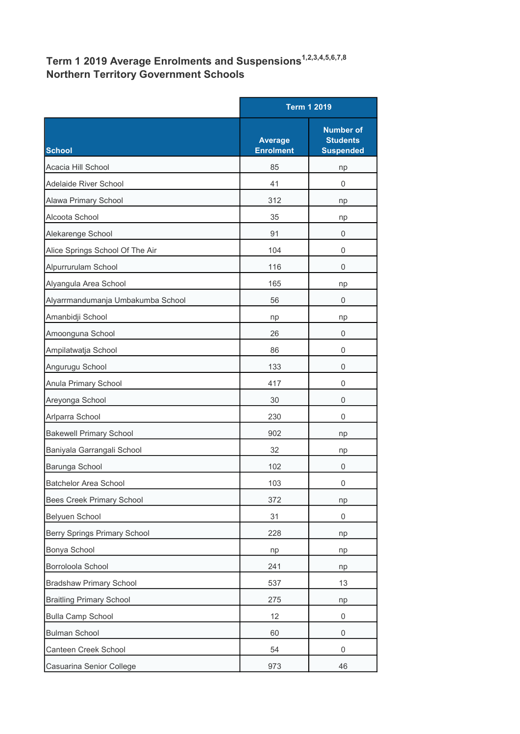## Term 1 2019 Average Enrolments and Suspensions<sup>1,2,3,4,5,6,7,8</sup> Northern Territory Government Schools

|                                     |                                    | <b>Term 1 2019</b>                                      |  |
|-------------------------------------|------------------------------------|---------------------------------------------------------|--|
| <b>School</b>                       | <b>Average</b><br><b>Enrolment</b> | <b>Number of</b><br><b>Students</b><br><b>Suspended</b> |  |
| Acacia Hill School                  | 85                                 | np                                                      |  |
| <b>Adelaide River School</b>        | 41                                 | 0                                                       |  |
| Alawa Primary School                | 312                                | np                                                      |  |
| Alcoota School                      | 35                                 | np                                                      |  |
| Alekarenge School                   | 91                                 | 0                                                       |  |
| Alice Springs School Of The Air     | 104                                | 0                                                       |  |
| Alpurrurulam School                 | 116                                | $\mathbf 0$                                             |  |
| Alyangula Area School               | 165                                | np                                                      |  |
| Alyarrmandumanja Umbakumba School   | 56                                 | 0                                                       |  |
| Amanbidji School                    | np                                 | np                                                      |  |
| Amoonguna School                    | 26                                 | 0                                                       |  |
| Ampilatwatja School                 | 86                                 | 0                                                       |  |
| Angurugu School                     | 133                                | 0                                                       |  |
| Anula Primary School                | 417                                | 0                                                       |  |
| Areyonga School                     | 30                                 | 0                                                       |  |
| Arlparra School                     | 230                                | 0                                                       |  |
| <b>Bakewell Primary School</b>      | 902                                | np                                                      |  |
| Baniyala Garrangali School          | 32                                 | np                                                      |  |
| Barunga School                      | 102                                | 0                                                       |  |
| <b>Batchelor Area School</b>        | 103                                | 0                                                       |  |
| Bees Creek Primary School           | 372                                | np                                                      |  |
| <b>Belyuen School</b>               | 31                                 | 0                                                       |  |
| <b>Berry Springs Primary School</b> | 228                                | np                                                      |  |
| Bonya School                        | np                                 | np                                                      |  |
| Borroloola School                   | 241                                | np                                                      |  |
| <b>Bradshaw Primary School</b>      | 537                                | 13                                                      |  |
| <b>Braitling Primary School</b>     | 275                                | np                                                      |  |
| <b>Bulla Camp School</b>            | 12                                 | 0                                                       |  |
| <b>Bulman School</b>                | 60                                 | 0                                                       |  |
| Canteen Creek School                | 54                                 | 0                                                       |  |
| Casuarina Senior College            | 973                                | 46                                                      |  |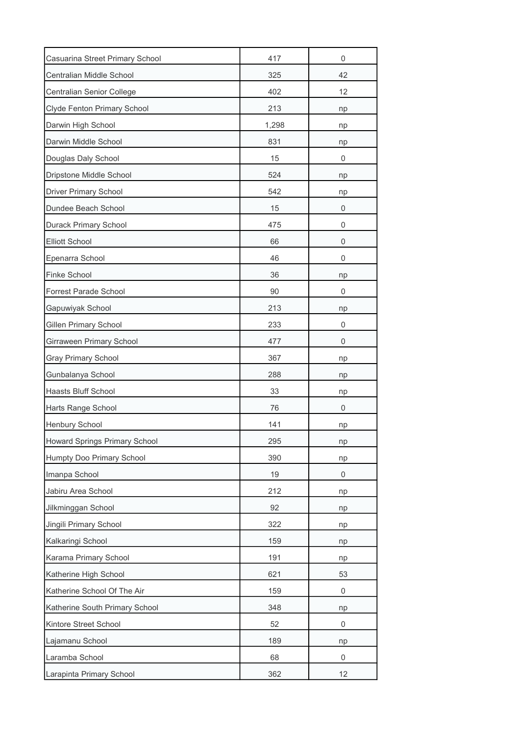| Casuarina Street Primary School | 417   | $\overline{0}$ |
|---------------------------------|-------|----------------|
| Centralian Middle School        | 325   | 42             |
| Centralian Senior College       | 402   | 12             |
| Clyde Fenton Primary School     | 213   | np             |
| Darwin High School              | 1,298 | np             |
| Darwin Middle School            | 831   | np             |
| Douglas Daly School             | 15    | 0              |
| Dripstone Middle School         | 524   | np             |
| <b>Driver Primary School</b>    | 542   | np             |
| Dundee Beach School             | 15    | 0              |
| Durack Primary School           | 475   | 0              |
| <b>Elliott School</b>           | 66    | 0              |
| Epenarra School                 | 46    | 0              |
| Finke School                    | 36    | np             |
| Forrest Parade School           | 90    | 0              |
| Gapuwiyak School                | 213   | np             |
| Gillen Primary School           | 233   | 0              |
| Girraween Primary School        | 477   | 0              |
| <b>Gray Primary School</b>      | 367   | np             |
| Gunbalanya School               | 288   | np             |
| <b>Haasts Bluff School</b>      | 33    | np             |
| Harts Range School              | 76    | 0              |
| Henbury School                  | 141   | np             |
| Howard Springs Primary School   | 295   | np             |
| Humpty Doo Primary School       | 390   | np             |
| Imanpa School                   | 19    | 0              |
| Jabiru Area School              | 212   | np             |
| Jilkminggan School              | 92    | np             |
| Jingili Primary School          | 322   | np             |
| Kalkaringi School               | 159   | np             |
| Karama Primary School           | 191   | np             |
| Katherine High School           | 621   | 53             |
| Katherine School Of The Air     | 159   | 0              |
| Katherine South Primary School  | 348   | np             |
| Kintore Street School           | 52    | 0              |
| Lajamanu School                 | 189   | np             |
| Laramba School                  | 68    | 0              |
| Larapinta Primary School        | 362   | 12             |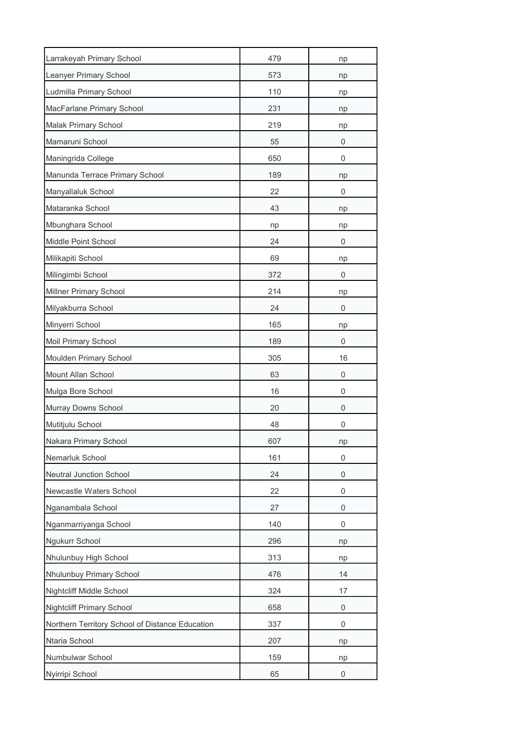| Larrakeyah Primary School                       | 479 | np          |
|-------------------------------------------------|-----|-------------|
| Leanyer Primary School                          | 573 | np          |
| Ludmilla Primary School                         | 110 | np          |
| MacFarlane Primary School                       | 231 | np          |
| Malak Primary School                            | 219 | np          |
| Mamaruni School                                 | 55  | 0           |
| Maningrida College                              | 650 | 0           |
| Manunda Terrace Primary School                  | 189 | np          |
| Manyallaluk School                              | 22  | 0           |
| Mataranka School                                | 43  | np          |
| Mbunghara School                                | np  | np          |
| Middle Point School                             | 24  | 0           |
| Milikapiti School                               | 69  | np          |
| Milingimbi School                               | 372 | 0           |
| Millner Primary School                          | 214 | np          |
| Milyakburra School                              | 24  | 0           |
| Minyerri School                                 | 165 | np          |
| Moil Primary School                             | 189 | 0           |
| Moulden Primary School                          | 305 | 16          |
| Mount Allan School                              | 63  | 0           |
| Mulga Bore School                               | 16  | 0           |
| Murray Downs School                             | 20  | 0           |
| Mutitjulu School                                | 48  | 0           |
| Nakara Primary School                           | 607 | np          |
| Nemarluk School                                 | 161 | 0           |
| Neutral Junction School                         | 24  | 0           |
| Newcastle Waters School                         | 22  | 0           |
| Nganambala School                               | 27  | $\mathbf 0$ |
| Nganmarriyanga School                           | 140 | 0           |
| Ngukurr School                                  | 296 | np          |
| Nhulunbuy High School                           | 313 | np          |
| Nhulunbuy Primary School                        | 476 | 14          |
| Nightcliff Middle School                        | 324 | 17          |
| <b>Nightcliff Primary School</b>                | 658 | 0           |
| Northern Territory School of Distance Education | 337 | 0           |
| Ntaria School                                   | 207 | np          |
| Numbulwar School                                | 159 | np          |
| Nyirripi School                                 | 65  | 0           |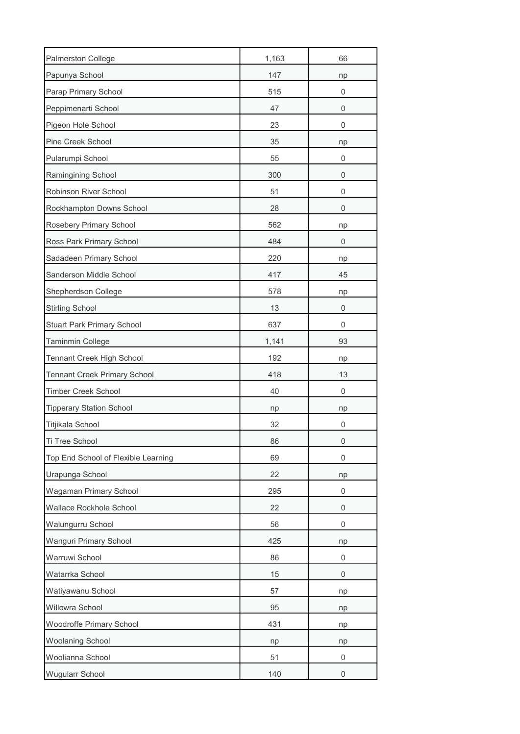| Palmerston College                  | 1,163 | 66 |
|-------------------------------------|-------|----|
| Papunya School                      | 147   | np |
| Parap Primary School                | 515   | 0  |
| Peppimenarti School                 | 47    | 0  |
| Pigeon Hole School                  | 23    | 0  |
| Pine Creek School                   | 35    | np |
| Pularumpi School                    | 55    | 0  |
| Ramingining School                  | 300   | 0  |
| Robinson River School               | 51    | 0  |
| Rockhampton Downs School            | 28    | 0  |
| Rosebery Primary School             | 562   | np |
| Ross Park Primary School            | 484   | 0  |
| Sadadeen Primary School             | 220   | np |
| Sanderson Middle School             | 417   | 45 |
| Shepherdson College                 | 578   | np |
| <b>Stirling School</b>              | 13    | 0  |
| <b>Stuart Park Primary School</b>   | 637   | 0  |
| Taminmin College                    | 1,141 | 93 |
| Tennant Creek High School           | 192   | np |
| Tennant Creek Primary School        | 418   | 13 |
| <b>Timber Creek School</b>          | 40    | 0  |
| <b>Tipperary Station School</b>     | np    | np |
| Titjikala School                    | 32    | 0  |
| Ti Tree School                      | 86    | 0  |
| Top End School of Flexible Learning | 69    | 0  |
| Urapunga School                     | 22    | np |
| Wagaman Primary School              | 295   | 0  |
| Wallace Rockhole School             | 22    | 0  |
| Walungurru School                   | 56    | 0  |
| <b>Wanguri Primary School</b>       | 425   | np |
| Warruwi School                      | 86    | 0  |
| Watarrka School                     | 15    | 0  |
| Watiyawanu School                   | 57    | np |
| Willowra School                     | 95    | np |
| Woodroffe Primary School            | 431   | np |
| <b>Woolaning School</b>             | np    | np |
| Woolianna School                    | 51    | 0  |
| <b>Wugularr School</b>              | 140   | 0  |